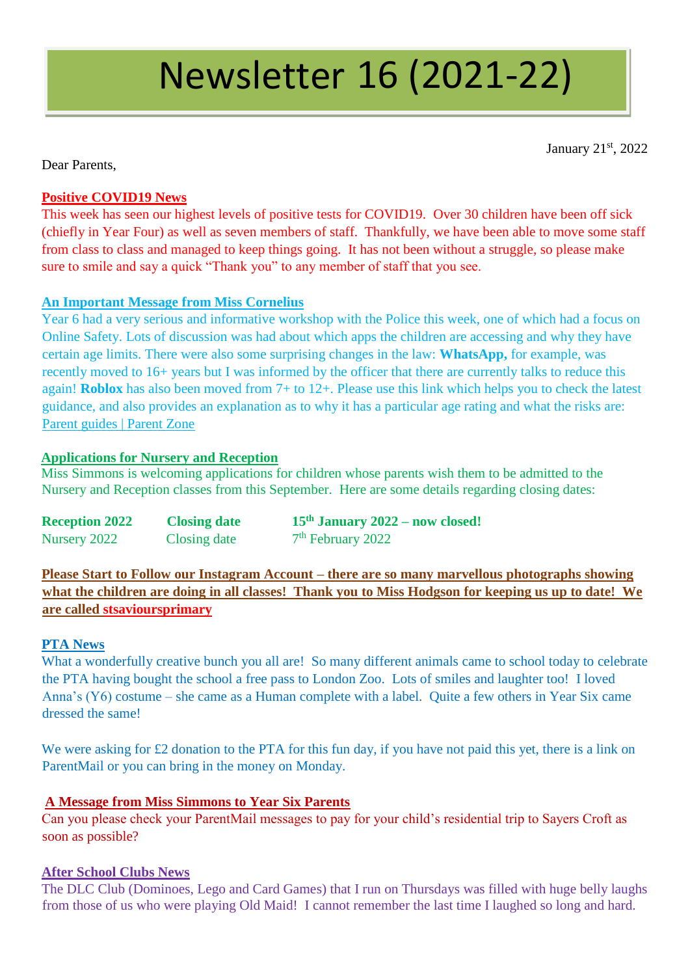# Newsletter 16 (2021-22)

January 21st, 2022

Dear Parents,

### **Positive COVID19 News**

This week has seen our highest levels of positive tests for COVID19. Over 30 children have been off sick (chiefly in Year Four) as well as seven members of staff. Thankfully, we have been able to move some staff from class to class and managed to keep things going. It has not been without a struggle, so please make sure to smile and say a quick "Thank you" to any member of staff that you see.

### **An Important Message from Miss Cornelius**

Year 6 had a very serious and informative workshop with the Police this week, one of which had a focus on Online Safety. Lots of discussion was had about which apps the children are accessing and why they have certain age limits. There were also some surprising changes in the law: **WhatsApp,** for example, was recently moved to 16+ years but I was informed by the officer that there are currently talks to reduce this again! **Roblox** has also been moved from 7+ to 12+. Please use this link which helps you to check the latest guidance, and also provides an explanation as to why it has a particular age rating and what the risks are: [Parent guides | Parent Zone](https://parentzone.org.uk/advice/parent-guides)

### **Applications for Nursery and Reception**

Miss Simmons is welcoming applications for children whose parents wish them to be admitted to the Nursery and Reception classes from this September. Here are some details regarding closing dates:

| <b>Reception 2022</b> | <b>Closing date</b> | $15th$ January 2022 – now closed! |
|-----------------------|---------------------|-----------------------------------|
| Nursery 2022          | Closing date        | $7th$ February 2022               |

**Please Start to Follow our Instagram Account – there are so many marvellous photographs showing what the children are doing in all classes! Thank you to Miss Hodgson for keeping us up to date! We are called stsavioursprimary**

#### **PTA News**

What a wonderfully creative bunch you all are! So many different animals came to school today to celebrate the PTA having bought the school a free pass to London Zoo. Lots of smiles and laughter too! I loved Anna's (Y6) costume – she came as a Human complete with a label. Quite a few others in Year Six came dressed the same!

We were asking for £2 donation to the PTA for this fun day, if you have not paid this yet, there is a link on ParentMail or you can bring in the money on Monday.

## **A Message from Miss Simmons to Year Six Parents**

Can you please check your ParentMail messages to pay for your child's residential trip to Sayers Croft as soon as possible?

## **After School Clubs News**

The DLC Club (Dominoes, Lego and Card Games) that I run on Thursdays was filled with huge belly laughs from those of us who were playing Old Maid! I cannot remember the last time I laughed so long and hard.